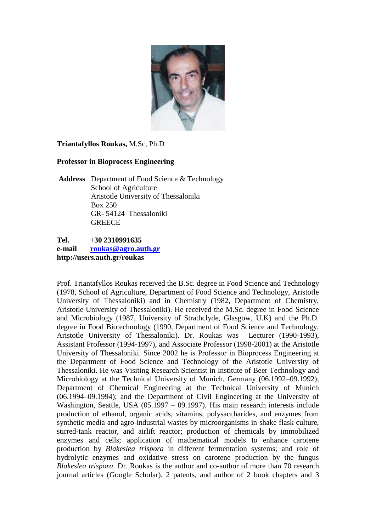

### **Triantafyllos Roukas,** M.Sc, Ph.D

### **Professor in Bioprocess Engineering**

**Address** Department of Food Science & Technology School of Agriculture Aristotle University of Thessaloniki Box 250 GR- 54124 Thessaloniki **GREECE** 

**Tel. +30 2310991635 e-mail [roukas@agro.auth.gr](mailto:roukas@agro.auth.gr) http://users.auth.gr/roukas**

Prof. Triantafyllos Roukas received the B.Sc. degree in Food Science and Technology (1978, School of Agriculture, Department of Food Science and Technology, Aristotle University of Thessaloniki) and in Chemistry (1982, Department of Chemistry, Aristotle University of Thessaloniki). He received the M.Sc. degree in Food Science and Microbiology (1987, University of Strathclyde, Glasgow, U.K) and the Ph.D. degree in Food Biotechnology (1990, Department of Food Science and Technology, Aristotle University of Thessaloniki). Dr. Roukas was Lecturer (1990-1993), Assistant Professor (1994-1997), and Associate Professor (1998-2001) at the Aristotle University of Thessaloniki. Since 2002 he is Professor in Bioprocess Engineering at the Department of Food Science and Technology of the Aristotle University of Thessaloniki. He was Visiting Research Scientist in Institute of Beer Technology and Microbiology at the Technical University of Munich, Germany (06.1992–09.1992); Department of Chemical Engineering at the Technical University of Munich (06.1994–09.1994); and the Department of Civil Engineering at the University of Washington, Seattle, USA (05.1997 – 09.1997). His main research interests include production of ethanol, organic acids, vitamins, polysaccharides, and enzymes from synthetic media and agro-industrial wastes by microorganisms in shake flask culture, stirred-tank reactor, and airlift reactor; production of chemicals by immobilized enzymes and cells; application of mathematical models to enhance carotene production by *Blakeslea trispora* in different fermentation systems; and role of hydrolytic enzymes and oxidative stress on carotene production by the fungus *Blakeslea trispora.* Dr. Roukas is the author and co-author of more than 70 research journal articles (Google Scholar), 2 patents, and author of 2 book chapters and 3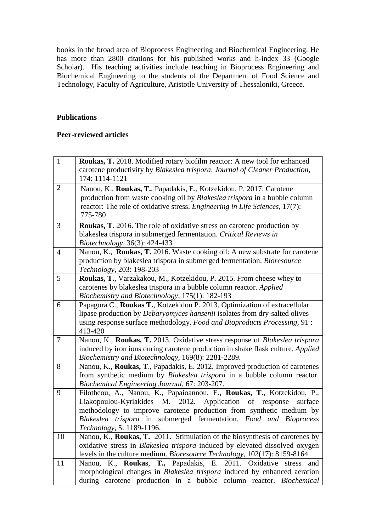books in the broad area of Bioprocess Engineering and Biochemical Engineering. He has more than 2800 citations for his published works and h-index 33 (Google Scholar). His teaching activities include teaching in Bioprocess Engineering and Biochemical Engineering to the students of the Department of Food Science and Technology, Faculty of Agriculture, Aristotle University of Thessaloniki, Greece.

## **Publications**

### **Peer-reviewed articles**

| $\mathbf 1$    | Roukas, T. 2018. Modified rotary biofilm reactor: A new tool for enhanced                                               |
|----------------|-------------------------------------------------------------------------------------------------------------------------|
|                | carotene productivity by Blakeslea trispora. Journal of Cleaner Production,                                             |
|                | 174: 1114-1121                                                                                                          |
| $\overline{2}$ | Nanou, K., Roukas, T., Papadakis, E., Kotzekidou, P. 2017. Carotene                                                     |
|                | production from waste cooking oil by Blakeslea trispora in a bubble column                                              |
|                | reactor: The role of oxidative stress. Engineering in Life Sciences, 17(7):                                             |
|                | 775-780                                                                                                                 |
| $\overline{3}$ | Roukas, T. 2016. The role of oxidative stress on carotene production by                                                 |
|                | blakeslea trispora in submerged fermentation. Critical Reviews in                                                       |
|                | Biotechnology, 36(3): 424-433                                                                                           |
| $\overline{4}$ | Nanou, K., Roukas, T. 2016. Waste cooking oil: A new substrate for carotene                                             |
|                | production by blakeslea trispora in submerged fermentation. Bioresource                                                 |
|                | Technology, 203: 198-203                                                                                                |
| 5              | Roukas, T., Varzakakou, M., Kotzekidou, P. 2015. From cheese whey to                                                    |
|                | carotenes by blakeslea trispora in a bubble column reactor. Applied                                                     |
|                | Biochemistry and Biotechnology, 175(1): 182-193                                                                         |
| 6              | Papagora C., Roukas T., Kotzekidou P. 2013. Optimization of extracellular                                               |
|                | lipase production by <i>Debaryomyces hansenii</i> isolates from dry-salted olives                                       |
|                | using response surface methodology. Food and Bioproducts Processing, 91 :                                               |
|                | 413-420                                                                                                                 |
| $\tau$         | Nanou, K., Roukas, T. 2013. Oxidative stress response of Blakeslea trispora                                             |
|                | induced by iron ions during carotene production in shake flask culture. Applied                                         |
|                | Biochemistry and Biotechnology, 169(8): 2281-2289.                                                                      |
| 8              | Nanou, K., Roukas, T., Papadakis, E. 2012. Improved production of carotenes                                             |
|                | from synthetic medium by Blakeslea trispora in a bubble column reactor.                                                 |
| 9              | Biochemical Engineering Journal, 67: 203-207.<br>Filotheou, A., Nanou, K., Papaioannou, E., Roukas, T., Kotzekidou, P., |
|                | Liakopoulou-Kyriakides M.<br>2012.<br>Application of response<br>surface                                                |
|                | methodology to improve carotene production from synthetic medium by                                                     |
|                | Blakeslea trispora in submerged fermentation. Food and Bioprocess                                                       |
|                | Technology, 5: 1189-1196.                                                                                               |
| 10             | Nanou, K., Roukas, T. 2011. Stimulation of the biosynthesis of carotenes by                                             |
|                | oxidative stress in Blakeslea trispora induced by elevated dissolved oxygen                                             |
|                | levels in the culture medium. Bioresource Technology, 102(17): 8159-8164.                                               |
| 11             | Nanou, K., Roukas, T., Papadakis, E.<br>2011. Oxidative stress<br>and                                                   |
|                | morphological changes in Blakeslea trispora induced by enhanced aeration                                                |
|                | during carotene production in a bubble column reactor. Biochemical                                                      |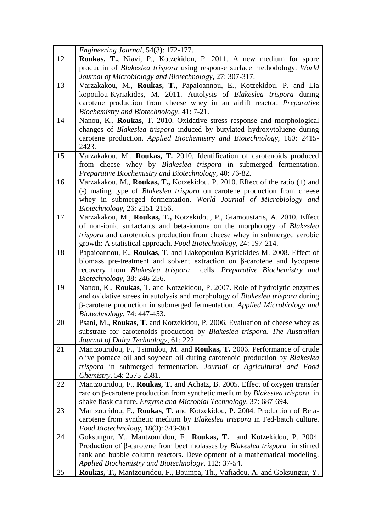|    | Engineering Journal, 54(3): 172-177.                                                       |
|----|--------------------------------------------------------------------------------------------|
| 12 | Roukas, T., Niavi, P., Kotzekidou, P. 2011. A new medium for spore                         |
|    | productin of Blakeslea trispora using response surface methodology. World                  |
|    | Journal of Microbiology and Biotechnology, 27: 307-317.                                    |
| 13 | Varzakakou, M., Roukas, T., Papaioannou, E., Kotzekidou, P. and Lia                        |
|    | kopoulou-Kyriakides, M. 2011. Autolysis of Blakeslea trispora during                       |
|    | carotene production from cheese whey in an airlift reactor. Preparative                    |
|    | Biochemistry and Biotechnology, 41: 7-21.                                                  |
| 14 | Nanou, K., Roukas, T. 2010. Oxidative stress response and morphological                    |
|    | changes of <i>Blakeslea trispora</i> induced by butylated hydroxytoluene during            |
|    | carotene production. Applied Biochemistry and Biotechnology, 160: 2415-                    |
|    | 2423.                                                                                      |
| 15 | Varzakakou, M., Roukas, T. 2010. Identification of carotenoids produced                    |
|    | from cheese whey by <i>Blakeslea trispora</i> in submerged fermentation.                   |
|    | Preparative Biochemistry and Biotechnology, 40: 76-82.                                     |
| 16 | Varzakakou, M., Roukas, T., Kotzekidou, P. 2010. Effect of the ratio (+) and               |
|    | (-) mating type of <i>Blakeslea trispora</i> on carotene production from cheese            |
|    | whey in submerged fermentation. World Journal of Microbiology and                          |
|    | Biotechnology, 26: 2151-2156.                                                              |
| 17 | Varzakakou, M., Roukas, T., Kotzekidou, P., Giamoustaris, A. 2010. Effect                  |
|    | of non-ionic surfactants and beta-ionone on the morphology of Blakeslea                    |
|    | trispora and carotenoids production from cheese whey in submerged aerobic                  |
|    | growth: A statistical approach. Food Biotechnology, 24: 197-214.                           |
| 18 | Papaioannou, E., Roukas, T. and Liakopoulou-Kyriakides M. 2008. Effect of                  |
|    | biomass pre-treatment and solvent extraction on $\beta$ -carotene and lycopene             |
|    | recovery from Blakeslea trispora cells. Preparative Biochemistry and                       |
|    | Biotechnology, 38: 246-256.                                                                |
| 19 | Nanou, K., Roukas, T. and Kotzekidou, P. 2007. Role of hydrolytic enzymes                  |
|    | and oxidative strees in autolysis and morphology of Blakeslea trispora during              |
|    | β-carotene production in submerged fermentation. Applied Microbiology and                  |
|    | Biotechnology, 74: 447-453.                                                                |
| 20 | Psani, M., Roukas, T. and Kotzekidou, P. 2006. Evaluation of cheese whey as                |
|    | substrate for carotenoids production by Blakeslea trispora. The Australian                 |
|    | Journal of Dairy Technology, 61: 222.                                                      |
| 21 | Mantzouridou, F., Tsimidou, M. and Roukas, T. 2006. Performance of crude                   |
|    | olive pomace oil and soybean oil during carotenoid production by Blakeslea                 |
|    | trispora in submerged fermentation. Journal of Agricultural and Food                       |
|    | Chemistry, 54: 2575-2581.                                                                  |
| 22 | Mantzouridou, F., Roukas, T. and Achatz, B. 2005. Effect of oxygen transfer                |
|    | rate on $\beta$ -carotene production from synthetic medium by <i>Blakeslea trispora</i> in |
|    | shake flask culture. Enzyme and Microbial Technology, 37: 687-694.                         |
| 23 | Mantzouridou, F., Roukas, T. and Kotzekidou, P. 2004. Production of Beta-                  |
|    | carotene from synthetic medium by <i>Blakeslea trispora</i> in Fed-batch culture.          |
|    | Food Biotechnology, 18(3): 343-361.                                                        |
| 24 | Goksungur, Y., Mantzouridou, F., Roukas, T. and Kotzekidou, P. 2004.                       |
|    | Production of $\beta$ -carotene from beet molasses by <i>Blakeslea trispora</i> in stirred |
|    | tank and bubble column reactors. Development of a mathematical modeling.                   |
|    | Applied Biochemistry and Biotechnology, 112: 37-54.                                        |
| 25 | Roukas, T., Mantzouridou, F., Boumpa, Th., Vafiadou, A. and Goksungur, Y.                  |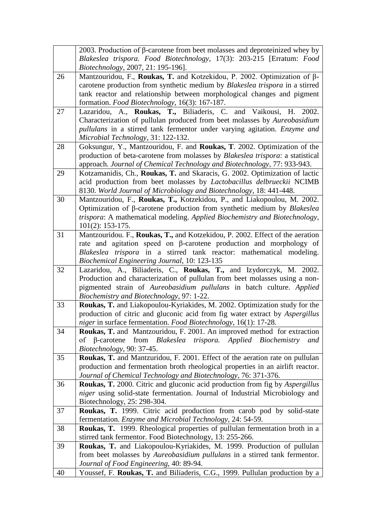|    | 2003. Production of $\beta$ -carotene from beet molasses and deproteinized whey by                                                                 |
|----|----------------------------------------------------------------------------------------------------------------------------------------------------|
|    | Blakeslea trispora. Food Biotechnology, 17(3): 203-215 [Erratum: Food                                                                              |
|    | Biotechnology, 2007, 21: 195-196].                                                                                                                 |
| 26 | Mantzouridou, F., Roukas, T. and Kotzekidou, P. 2002. Optimization of $\beta$ -                                                                    |
|    | carotene production from synthetic medium by Blakeslea trispora in a stirred                                                                       |
|    | tank reactor and relationship between morphological changes and pigment                                                                            |
|    | formation. Food Biotechnology, 16(3): 167-187.                                                                                                     |
| 27 | Lazaridou, A., Roukas, T., Biliaderis, C. and Vaikousi, H. 2002.                                                                                   |
|    | Characterization of pullulan produced from beet molasses by Aureobasidium                                                                          |
|    | pullulans in a stirred tank fermentor under varying agitation. Enzyme and                                                                          |
|    | Microbial Technology, 31: 122-132.                                                                                                                 |
| 28 | Goksungur, Y., Mantzouridou, F. and Roukas, T. 2002. Optimization of the                                                                           |
|    | production of beta-carotene from molasses by Blakeslea trispora: a statistical                                                                     |
|    | approach. Journal of Chemical Technology and Biotechnology, 77: 933-943.                                                                           |
| 29 | Kotzamanidis, Ch., Roukas, T. and Skaracis, G. 2002. Optimization of lactic                                                                        |
|    | acid production from beet molasses by Lactobacillus delbrueckii NCIMB                                                                              |
|    | 8130. World Journal of Microbiology and Biotechnology, 18: 441-448.                                                                                |
| 30 | Mantzouridou, F., Roukas, T., Kotzekidou, P., and Liakopoulou, M. 2002.                                                                            |
|    | Optimization of $\beta$ -carotene production from synthetic medium by <i>Blakeslea</i>                                                             |
|    | trispora: A mathematical modeling. Applied Biochemistry and Biotechnology,                                                                         |
|    | $101(2): 153-175.$                                                                                                                                 |
| 31 | Mantzouridou. F., Roukas, T., and Kotzekidou, P. 2002. Effect of the aeration                                                                      |
|    | rate and agitation speed on $\beta$ -carotene production and morphology of                                                                         |
|    | Blakeslea trispora in a stirred tank reactor: mathematical modeling.                                                                               |
| 32 | Biochemical Engineering Journal, 10: 123-135                                                                                                       |
|    | Lazaridou, A., Biliaderis, C., Roukas, T., and Izydorczyk, M. 2002.<br>Production and characterization of pullulan from beet molasses using a non- |
|    | pigmented strain of Aureobasidium pullulans in batch culture. Applied                                                                              |
|    | Biochemistry and Biotechnology, 97: 1-22.                                                                                                          |
| 33 | Roukas, T. and Liakopoulou-Kyriakides, M. 2002. Optimization study for the                                                                         |
|    | production of citric and gluconic acid from fig water extract by Aspergillus                                                                       |
|    | niger in surface fermentation. Food Biotechnology, 16(1): 17-28.                                                                                   |
| 34 | Roukas, T. and Mantzouridou, F. 2001. An improved method for extraction                                                                            |
|    | from Blakeslea trispora. Applied Biochemistry<br>$\beta$ -carotene<br>of<br>and                                                                    |
|    | Biotechnology, 90: 37-45.                                                                                                                          |
| 35 | Roukas, T. and Mantzuridou, F. 2001. Effect of the aeration rate on pullulan                                                                       |
|    | production and fermentation broth rheological properties in an airlift reactor.                                                                    |
|    | Journal of Chemical Technology and Biotechnology, 76: 371-376.                                                                                     |
| 36 | Roukas, T. 2000. Citric and gluconic acid production from fig by Aspergillus                                                                       |
|    | niger using solid-state fermentation. Journal of Industrial Microbiology and                                                                       |
|    | Biotechnology, 25: 298-304.                                                                                                                        |
| 37 | Roukas, T. 1999. Citric acid production from carob pod by solid-state                                                                              |
|    | fermentation. Enzyme and Microbial Technology, 24: 54-59.                                                                                          |
| 38 | Roukas, T. 1999. Rheological properties of pullulan fermentation broth in a                                                                        |
|    | stirred tank fermentor. Food Biotechnology, 13: 255-266.                                                                                           |
| 39 | Roukas, T. and Liakopoulou-Kyriakides, M. 1999. Production of pullulan                                                                             |
|    | from beet molasses by Aureobasidium pullulans in a stirred tank fermentor.                                                                         |
|    | Journal of Food Engineering, 40: 89-94.                                                                                                            |
| 40 | Youssef, F. Roukas, T. and Biliaderis, C.G., 1999. Pullulan production by a                                                                        |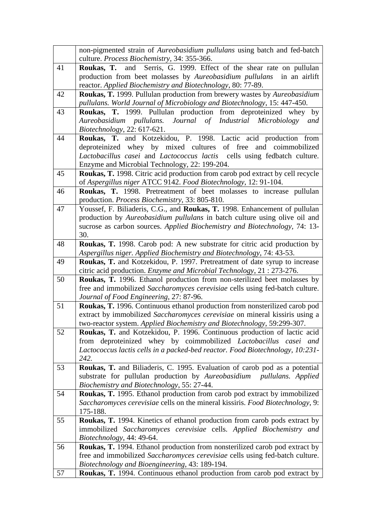|    | non-pigmented strain of Aureobasidium pullulans using batch and fed-batch<br>culture. Process Biochemistry, 34: 355-366.                            |
|----|-----------------------------------------------------------------------------------------------------------------------------------------------------|
| 41 | Roukas, T. and Serris, G. 1999. Effect of the shear rate on pullulan                                                                                |
|    | production from beet molasses by Aureobasidium pullulans in an airlift                                                                              |
|    | reactor. Applied Biochemistry and Biotechnology, 80: 77-89.                                                                                         |
| 42 | Roukas, T. 1999. Pullulan production from brewery wastes by Aureobasidium                                                                           |
|    | pullulans. World Journal of Microbiology and Biotechnology, 15: 447-450.                                                                            |
| 43 | Roukas, T. 1999. Pullulan production from deproteinized whey by                                                                                     |
|    | Journal of Industrial Microbiology<br>Aureobasidium pullulans.<br>and                                                                               |
|    | Biotechnology, 22: 617-621.                                                                                                                         |
| 44 | Roukas, T. and Kotzekidou, P. 1998. Lactic acid production from                                                                                     |
|    | deproteinized whey by mixed cultures of free<br>and coimmobilized                                                                                   |
|    | Lactobacillus casei and Lactococcus lactis cells using fedbatch culture.                                                                            |
|    | Enzyme and Microbial Technology, 22: 199-204.                                                                                                       |
| 45 | Roukas, T. 1998. Citric acid production from carob pod extract by cell recycle                                                                      |
|    | of Aspergillus niger ATCC 9142. Food Biotechnology, 12: 91-104.                                                                                     |
| 46 | Roukas, T. 1998. Pretreatment of beet molasses to increase pullulan                                                                                 |
|    | production. Process Biochemistry, 33: 805-810.                                                                                                      |
| 47 | Youssef, F. Biliaderis, C.G., and Roukas, T. 1998. Enhancement of pullulan                                                                          |
|    | production by Aureobasidium pullulans in batch culture using olive oil and                                                                          |
|    | sucrose as carbon sources. Applied Biochemistry and Biotechnology, 74: 13-                                                                          |
|    | 30.                                                                                                                                                 |
| 48 | Roukas, T. 1998. Carob pod: A new substrate for citric acid production by                                                                           |
| 49 | Aspergillus niger. Applied Biochemistry and Biotechnology, 74: 43-53.                                                                               |
|    | Roukas, T. and Kotzekidou, P. 1997. Pretreatment of date syrup to increase<br>citric acid production. Enzyme and Microbial Technology, 21: 273-276. |
| 50 | Roukas, T. 1996. Ethanol production from non-sterilized beet molasses by                                                                            |
|    | free and immobilized Saccharomyces cerevisiae cells using fed-batch culture.                                                                        |
|    | Journal of Food Engineering, 27: 87-96.                                                                                                             |
| 51 | Roukas, T. 1996. Continuous ethanol production from nonsterilized carob pod                                                                         |
|    | extract by immobilized Saccharomyces cerevisiae on mineral kissiris using a                                                                         |
|    | two-reactor system. Applied Biochemistry and Biotechnology, 59:299-307.                                                                             |
| 52 | Roukas, T. and Kotzekidou, P. 1996. Continuous production of lactic acid                                                                            |
|    | from deproteinized whey by coimmobilized Lactobacillus casei and                                                                                    |
|    | Lactococcus lactis cells in a packed-bed reactor. Food Biotechnology, 10:231-                                                                       |
|    | 242.                                                                                                                                                |
| 53 | Roukas, T. and Biliaderis, C. 1995. Evaluation of carob pod as a potential                                                                          |
|    | substrate for pullulan production by Aureobasidium<br>pullulans. Applied                                                                            |
|    | Biochemistry and Biotechnology, 55: 27-44.                                                                                                          |
| 54 | Roukas, T. 1995. Ethanol production from carob pod extract by immobilized                                                                           |
|    | Saccharomyces cerevisiae cells on the mineral kissiris. Food Biotechnology, 9:<br>175-188.                                                          |
| 55 | Roukas, T. 1994. Kinetics of ethanol production from carob pods extract by                                                                          |
|    | immobilized Saccharomyces cerevisiae cells. Applied Biochemistry and                                                                                |
|    | Biotechnology, 44: 49-64.                                                                                                                           |
| 56 | Roukas, T. 1994. Ethanol production from nonsterilized carob pod extract by                                                                         |
|    | free and immobilized Saccharomyces cerevisiae cells using fed-batch culture.                                                                        |
|    | Biotechnology and Bioengineering, 43: 189-194.                                                                                                      |
| 57 | Roukas, T. 1994. Continuous ethanol production from carob pod extract by                                                                            |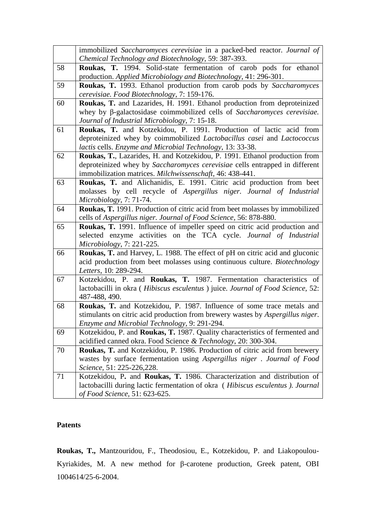|    | immobilized Saccharomyces cerevisiae in a packed-bed reactor. Journal of<br>Chemical Technology and Biotechnology, 59: 387-393.                                                                                       |
|----|-----------------------------------------------------------------------------------------------------------------------------------------------------------------------------------------------------------------------|
| 58 | Roukas, T. 1994. Solid-state fermentation of carob pods for ethanol<br>production. Applied Microbiology and Biotechnology, 41: 296-301.                                                                               |
| 59 | Roukas, T. 1993. Ethanol production from carob pods by Saccharomyces<br>cerevisiae. Food Biotechnology, 7: 159-176.                                                                                                   |
| 60 | Roukas, T. and Lazarides, H. 1991. Ethanol production from deproteinized<br>whey by $\beta$ -galactosidase coimmobilized cells of Saccharomyces cerevisiae.<br>Journal of Industrial Microbiology, 7: 15-18.          |
| 61 | Roukas, T. and Kotzekidou, P. 1991. Production of lactic acid from<br>deproteinized whey by coimmobilized Lactobacillus casei and Lactococcus<br>lactis cells. Enzyme and Microbial Technology, 13: 33-38.            |
| 62 | Roukas, T., Lazarides, H. and Kotzekidou, P. 1991. Ethanol production from<br>deproteinized whey by Saccharomyces cerevisiae cells entrapped in different<br>immobilization matrices. Milchwissenschaft, 46: 438-441. |
| 63 | Roukas, T. and Alichanidis, E. 1991. Citric acid production from beet<br>molasses by cell recycle of Aspergillus niger. Journal of Industrial<br>Microbiology, 7: 71-74.                                              |
| 64 | Roukas, T. 1991. Production of citric acid from beet molasses by immobilized<br>cells of Aspergillus niger. Journal of Food Science, 56: 878-880.                                                                     |
| 65 | Roukas, T. 1991. Influence of impeller speed on citric acid production and<br>selected enzyme activities on the TCA cycle. Journal of Industrial<br>Microbiology, 7: 221-225.                                         |
| 66 | Roukas, T. and Harvey, L. 1988. The effect of pH on citric acid and gluconic<br>acid production from beet molasses using continuous culture. Biotechnology<br>Letters, 10: 289-294.                                   |
| 67 | Kotzekidou, P. and Roukas, T. 1987. Fermentation characteristics of<br>lactobacilli in okra (Hibiscus esculentus) juice. Journal of Food Science, 52:<br>487-488, 490.                                                |
| 68 | Roukas, T. and Kotzekidou, P. 1987. Influence of some trace metals and<br>stimulants on citric acid production from brewery wastes by Aspergillus niger.<br>Enzyme and Microbial Technology, 9: 291-294.              |
| 69 | Kotzekidou, P. and Roukas, T. 1987. Quality characteristics of fermented and<br>acidified canned okra. Food Science & Technology, 20: 300-304.                                                                        |
| 70 | Roukas, T. and Kotzekidou, P. 1986. Production of citric acid from brewery<br>wastes by surface fermentation using Aspergillus niger. Journal of Food<br>Science, 51: 225-226,228.                                    |
| 71 | Kotzekidou, P. and Roukas, T. 1986. Characterization and distribution of<br>lactobacilli during lactic fermentation of okra (Hibiscus esculentus). Journal<br>of Food Science, 51: 623-625.                           |

# **Patents**

**Roukas, T.,** Mantzouridou, F., Theodosiou, E., Kotzekidou, P. and Liakopoulou-Kyriakides, M. A new method for β-carotene production, Greek patent, OBI 1004614/25-6-2004.